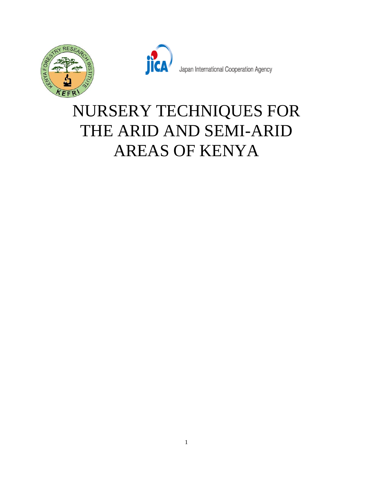



Japan International Cooperation Agency

# NURSERY TECHNIQUES FOR THE ARID AND SEMI-ARID AREAS OF KENYA

1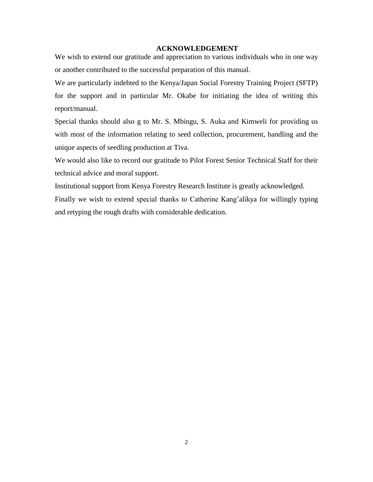### **ACKNOWLEDGEMENT**

<span id="page-1-0"></span>We wish to extend our gratitude and appreciation to various individuals who in one way or another contributed to the successful preparation of this manual.

We are particularly indebted to the Kenya/Japan Social Forestry Training Project (SFTP) for the support and in particular Mr. Okabe for initiating the idea of writing this report/manual.

Special thanks should also g to Mr. S. Mbingu, S. Auka and Kimweli for providing us with most of the information relating to seed collection, procurement, handling and the unique aspects of seedling production at Tiva.

We would also like to record our gratitude to Pilot Forest Senior Technical Staff for their technical advice and moral support.

Institutional support from Kenya Forestry Research Institute is greatly acknowledged.

Finally we wish to extend special thanks to Catherine Kang'alikya for willingly typing and retyping the rough drafts with considerable dedication.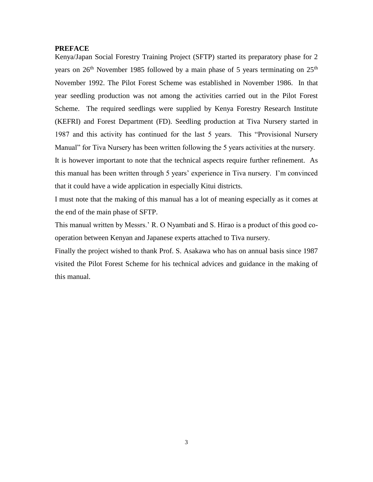#### <span id="page-2-0"></span>**PREFACE**

Kenya/Japan Social Forestry Training Project (SFTP) started its preparatory phase for 2 years on  $26<sup>th</sup>$  November 1985 followed by a main phase of 5 years terminating on  $25<sup>th</sup>$ November 1992. The Pilot Forest Scheme was established in November 1986. In that year seedling production was not among the activities carried out in the Pilot Forest Scheme. The required seedlings were supplied by Kenya Forestry Research Institute (KEFRI) and Forest Department (FD). Seedling production at Tiva Nursery started in 1987 and this activity has continued for the last 5 years. This "Provisional Nursery Manual" for Tiva Nursery has been written following the 5 years activities at the nursery. It is however important to note that the technical aspects require further refinement. As this manual has been written through 5 years' experience in Tiva nursery. I'm convinced that it could have a wide application in especially Kitui districts.

I must note that the making of this manual has a lot of meaning especially as it comes at the end of the main phase of SFTP.

This manual written by Messrs.' R. O Nyambati and S. Hirao is a product of this good cooperation between Kenyan and Japanese experts attached to Tiva nursery.

Finally the project wished to thank Prof. S. Asakawa who has on annual basis since 1987 visited the Pilot Forest Scheme for his technical advices and guidance in the making of this manual.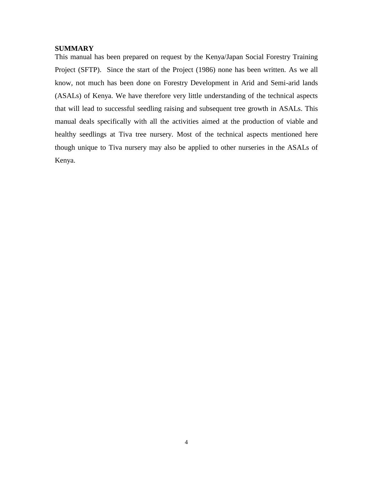## <span id="page-3-0"></span>**SUMMARY**

This manual has been prepared on request by the Kenya/Japan Social Forestry Training Project (SFTP). Since the start of the Project (1986) none has been written. As we all know, not much has been done on Forestry Development in Arid and Semi-arid lands (ASALs) of Kenya. We have therefore very little understanding of the technical aspects that will lead to successful seedling raising and subsequent tree growth in ASALs. This manual deals specifically with all the activities aimed at the production of viable and healthy seedlings at Tiva tree nursery. Most of the technical aspects mentioned here though unique to Tiva nursery may also be applied to other nurseries in the ASALs of Kenya.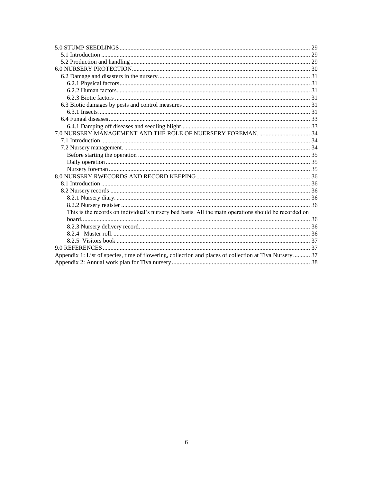| This is the records on individual's nursery bed basis. All the main operations should be recorded on    |  |
|---------------------------------------------------------------------------------------------------------|--|
|                                                                                                         |  |
|                                                                                                         |  |
|                                                                                                         |  |
|                                                                                                         |  |
|                                                                                                         |  |
| Appendix 1: List of species, time of flowering, collection and places of collection at Tiva Nursery  37 |  |
|                                                                                                         |  |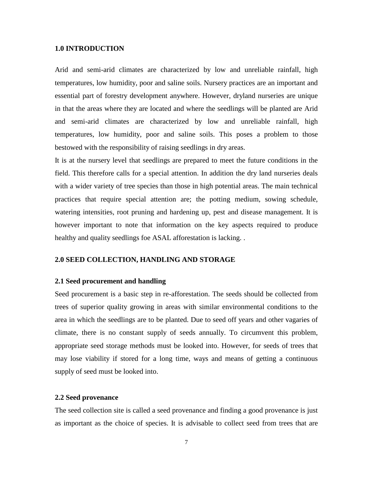## <span id="page-6-0"></span>**1.0 INTRODUCTION**

Arid and semi-arid climates are characterized by low and unreliable rainfall, high temperatures, low humidity, poor and saline soils. Nursery practices are an important and essential part of forestry development anywhere. However, dryland nurseries are unique in that the areas where they are located and where the seedlings will be planted are Arid and semi-arid climates are characterized by low and unreliable rainfall, high temperatures, low humidity, poor and saline soils. This poses a problem to those bestowed with the responsibility of raising seedlings in dry areas.

It is at the nursery level that seedlings are prepared to meet the future conditions in the field. This therefore calls for a special attention. In addition the dry land nurseries deals with a wider variety of tree species than those in high potential areas. The main technical practices that require special attention are; the potting medium, sowing schedule, watering intensities, root pruning and hardening up, pest and disease management. It is however important to note that information on the key aspects required to produce healthy and quality seedlings foe ASAL afforestation is lacking. .

## <span id="page-6-1"></span>**2.0 SEED COLLECTION, HANDLING AND STORAGE**

#### <span id="page-6-2"></span>**2.1 Seed procurement and handling**

Seed procurement is a basic step in re-afforestation. The seeds should be collected from trees of superior quality growing in areas with similar environmental conditions to the area in which the seedlings are to be planted. Due to seed off years and other vagaries of climate, there is no constant supply of seeds annually. To circumvent this problem, appropriate seed storage methods must be looked into. However, for seeds of trees that may lose viability if stored for a long time, ways and means of getting a continuous supply of seed must be looked into.

#### <span id="page-6-3"></span>**2.2 Seed provenance**

The seed collection site is called a seed provenance and finding a good provenance is just as important as the choice of species. It is advisable to collect seed from trees that are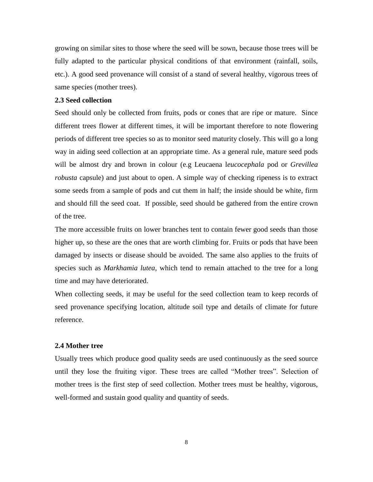growing on similar sites to those where the seed will be sown, because those trees will be fully adapted to the particular physical conditions of that environment (rainfall, soils, etc.). A good seed provenance will consist of a stand of several healthy, vigorous trees of same species (mother trees).

## <span id="page-7-0"></span>**2.3 Seed collection**

Seed should only be collected from fruits, pods or cones that are ripe or mature. Since different trees flower at different times, it will be important therefore to note flowering periods of different tree species so as to monitor seed maturity closely. This will go a long way in aiding seed collection at an appropriate time. As a general rule, mature seed pods will be almost dry and brown in colour (e.g Leucaena l*eucocephala* pod or *Grevillea robusta* capsule) and just about to open. A simple way of checking ripeness is to extract some seeds from a sample of pods and cut them in half; the inside should be white, firm and should fill the seed coat. If possible, seed should be gathered from the entire crown of the tree.

The more accessible fruits on lower branches tent to contain fewer good seeds than those higher up, so these are the ones that are worth climbing for. Fruits or pods that have been damaged by insects or disease should be avoided. The same also applies to the fruits of species such as *Markhamia lutea*, which tend to remain attached to the tree for a long time and may have deteriorated.

When collecting seeds, it may be useful for the seed collection team to keep records of seed provenance specifying location, altitude soil type and details of climate for future reference.

#### <span id="page-7-1"></span>**2.4 Mother tree**

Usually trees which produce good quality seeds are used continuously as the seed source until they lose the fruiting vigor. These trees are called "Mother trees". Selection of mother trees is the first step of seed collection. Mother trees must be healthy, vigorous, well-formed and sustain good quality and quantity of seeds.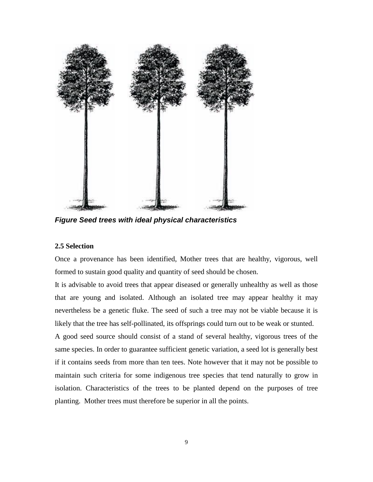

*Figure Seed trees with ideal physical characteristics*

## <span id="page-8-0"></span>**2.5 Selection**

Once a provenance has been identified, Mother trees that are healthy, vigorous, well formed to sustain good quality and quantity of seed should be chosen.

It is advisable to avoid trees that appear diseased or generally unhealthy as well as those that are young and isolated. Although an isolated tree may appear healthy it may nevertheless be a genetic fluke. The seed of such a tree may not be viable because it is likely that the tree has self-pollinated, its offsprings could turn out to be weak or stunted.

A good seed source should consist of a stand of several healthy, vigorous trees of the same species. In order to guarantee sufficient genetic variation, a seed lot is generally best if it contains seeds from more than ten tees. Note however that it may not be possible to maintain such criteria for some indigenous tree species that tend naturally to grow in isolation. Characteristics of the trees to be planted depend on the purposes of tree planting. Mother trees must therefore be superior in all the points.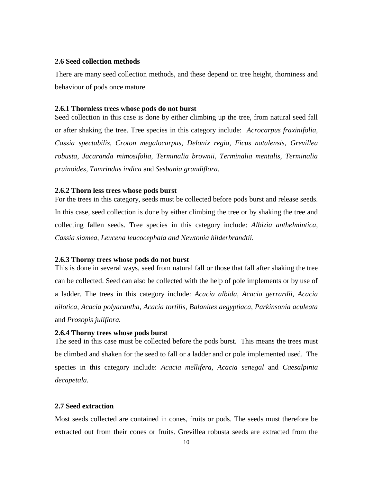#### <span id="page-9-0"></span>**2.6 Seed collection methods**

There are many seed collection methods, and these depend on tree height, thorniness and behaviour of pods once mature.

#### <span id="page-9-1"></span>**2.6.1 Thornless trees whose pods do not burst**

Seed collection in this case is done by either climbing up the tree, from natural seed fall or after shaking the tree. Tree species in this category include: *Acrocarpus fraxinifolia, Cassia spectabilis, Croton megalocarpus, Delonix regia, Ficus natalensis, Grevillea robusta, Jacaranda mimosifolia, Terminalia brownii, Terminalia mentalis, Terminalia pruinoides, Tamrindus indica* and *Sesbania grandiflora.*

#### <span id="page-9-2"></span>**2.6.2 Thorn less trees whose pods burst**

For the trees in this category, seeds must be collected before pods burst and release seeds. In this case, seed collection is done by either climbing the tree or by shaking the tree and collecting fallen seeds. Tree species in this category include: *Albizia anthelmintica, Cassia siamea, Leucena leucocephala and Newtonia hilderbrandtii.*

#### <span id="page-9-3"></span>**2.6.3 Thorny trees whose pods do not burst**

This is done in several ways, seed from natural fall or those that fall after shaking the tree can be collected. Seed can also be collected with the help of pole implements or by use of a ladder. The trees in this category include: *Acacia albida, Acacia gerrardii, Acacia nilotica, Acacia polyacantha, Acacia tortilis, Balanites aegyptiaca, Parkinsonia aculeata*  and *Prosopis juliflora.*

## <span id="page-9-4"></span>**2.6.4 Thorny trees whose pods burst**

The seed in this case must be collected before the pods burst. This means the trees must be climbed and shaken for the seed to fall or a ladder and or pole implemented used. The species in this category include: *Acacia mellifera, Acacia senegal* and *Caesalpinia decapetala.*

#### <span id="page-9-5"></span>**2.7 Seed extraction**

Most seeds collected are contained in cones, fruits or pods. The seeds must therefore be extracted out from their cones or fruits. Grevillea robusta seeds are extracted from the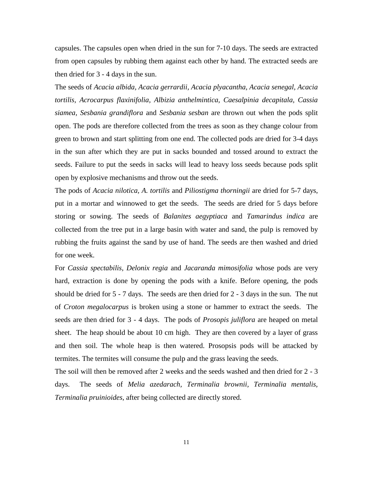capsules. The capsules open when dried in the sun for 7-10 days. The seeds are extracted from open capsules by rubbing them against each other by hand. The extracted seeds are then dried for 3 - 4 days in the sun.

The seeds of *Acacia albida, Acacia gerrardii, Acacia plyacantha, Acacia senegal, Acacia tortilis, Acrocarpus flaxinifolia, Albizia anthelmintica, Caesalpinia decapitala, Cassia siamea, Sesbania grandiflora* and *Sesbania sesban* are thrown out when the pods split open. The pods are therefore collected from the trees as soon as they change colour from green to brown and start splitting from one end. The collected pods are dried for 3-4 days in the sun after which they are put in sacks bounded and tossed around to extract the seeds. Failure to put the seeds in sacks will lead to heavy loss seeds because pods split open by explosive mechanisms and throw out the seeds.

The pods of *Acacia nilotica, A. tortilis* and *Piliostigma thorningii* are dried for 5-7 days, put in a mortar and winnowed to get the seeds. The seeds are dried for 5 days before storing or sowing. The seeds of *Balanites aegyptiaca* and *Tamarindus indica* are collected from the tree put in a large basin with water and sand, the pulp is removed by rubbing the fruits against the sand by use of hand. The seeds are then washed and dried for one week.

For *Cassia spectabilis, Delonix regia* and *Jacaranda mimosifolia* whose pods are very hard, extraction is done by opening the pods with a knife. Before opening, the pods should be dried for 5 - 7 days. The seeds are then dried for 2 - 3 days in the sun. The nut of *Croton megalocarpus* is broken using a stone or hammer to extract the seeds. The seeds are then dried for 3 - 4 days. The pods of *Prosopis juliflora* are heaped on metal sheet. The heap should be about 10 cm high. They are then covered by a layer of grass and then soil. The whole heap is then watered. Prosopsis pods will be attacked by termites. The termites will consume the pulp and the grass leaving the seeds.

The soil will then be removed after 2 weeks and the seeds washed and then dried for 2 - 3 days. The seeds of *Melia azedarach, Terminalia brownii, Terminalia mentalis, Terminalia pruinioides,* after being collected are directly stored.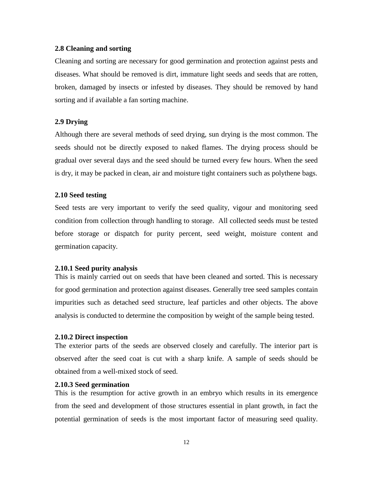#### <span id="page-11-0"></span>**2.8 Cleaning and sorting**

Cleaning and sorting are necessary for good germination and protection against pests and diseases. What should be removed is dirt, immature light seeds and seeds that are rotten, broken, damaged by insects or infested by diseases. They should be removed by hand sorting and if available a fan sorting machine.

## <span id="page-11-1"></span>**2.9 Drying**

Although there are several methods of seed drying, sun drying is the most common. The seeds should not be directly exposed to naked flames. The drying process should be gradual over several days and the seed should be turned every few hours. When the seed is dry, it may be packed in clean, air and moisture tight containers such as polythene bags.

#### <span id="page-11-2"></span>**2.10 Seed testing**

Seed tests are very important to verify the seed quality, vigour and monitoring seed condition from collection through handling to storage. All collected seeds must be tested before storage or dispatch for purity percent, seed weight, moisture content and germination capacity.

#### <span id="page-11-3"></span>**2.10.1 Seed purity analysis**

This is mainly carried out on seeds that have been cleaned and sorted. This is necessary for good germination and protection against diseases. Generally tree seed samples contain impurities such as detached seed structure, leaf particles and other objects. The above analysis is conducted to determine the composition by weight of the sample being tested.

#### <span id="page-11-4"></span>**2.10.2 Direct inspection**

The exterior parts of the seeds are observed closely and carefully. The interior part is observed after the seed coat is cut with a sharp knife. A sample of seeds should be obtained from a well-mixed stock of seed.

#### <span id="page-11-5"></span>**2.10.3 Seed germination**

This is the resumption for active growth in an embryo which results in its emergence from the seed and development of those structures essential in plant growth, in fact the potential germination of seeds is the most important factor of measuring seed quality.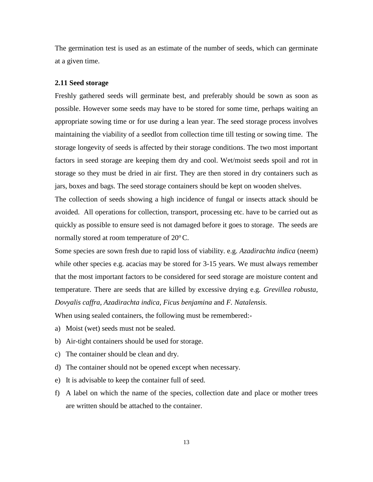The germination test is used as an estimate of the number of seeds, which can germinate at a given time.

#### <span id="page-12-0"></span>**2.11 Seed storage**

Freshly gathered seeds will germinate best, and preferably should be sown as soon as possible. However some seeds may have to be stored for some time, perhaps waiting an appropriate sowing time or for use during a lean year. The seed storage process involves maintaining the viability of a seedlot from collection time till testing or sowing time. The storage longevity of seeds is affected by their storage conditions. The two most important factors in seed storage are keeping them dry and cool. Wet/moist seeds spoil and rot in storage so they must be dried in air first. They are then stored in dry containers such as jars, boxes and bags. The seed storage containers should be kept on wooden shelves.

The collection of seeds showing a high incidence of fungal or insects attack should be avoided. All operations for collection, transport, processing etc. have to be carried out as quickly as possible to ensure seed is not damaged before it goes to storage. The seeds are normally stored at room temperature of  $20^{\circ}$ C.

Some species are sown fresh due to rapid loss of viability. e.g. *Azadirachta indica* (neem) while other species e.g. acacias may be stored for 3-15 years. We must always remember that the most important factors to be considered for seed storage are moisture content and temperature. There are seeds that are killed by excessive drying e.g. *Grevillea robusta, Dovyalis caffra, Azadirachta indica, Ficus benjamina* and *F. Natalensis.*

When using sealed containers, the following must be remembered:-

- a) Moist (wet) seeds must not be sealed.
- b) Air-tight containers should be used for storage.
- c) The container should be clean and dry.
- d) The container should not be opened except when necessary.
- e) It is advisable to keep the container full of seed.
- f) A label on which the name of the species, collection date and place or mother trees are written should be attached to the container.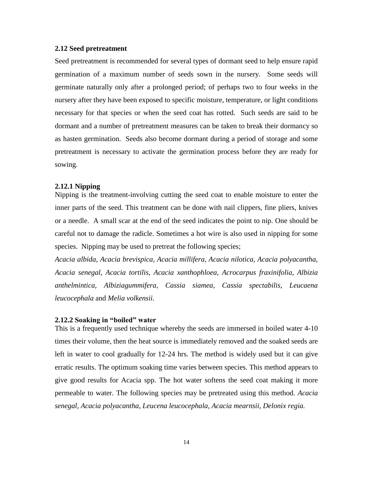#### <span id="page-13-0"></span>**2.12 Seed pretreatment**

Seed pretreatment is recommended for several types of dormant seed to help ensure rapid germination of a maximum number of seeds sown in the nursery. Some seeds will germinate naturally only after a prolonged period; of perhaps two to four weeks in the nursery after they have been exposed to specific moisture, temperature, or light conditions necessary for that species or when the seed coat has rotted. Such seeds are said to be dormant and a number of pretreatment measures can be taken to break their dormancy so as hasten germination. Seeds also become dormant during a period of storage and some pretreatment is necessary to activate the germination process before they are ready for sowing.

#### <span id="page-13-1"></span>**2.12.1 Nipping**

Nipping is the treatment-involving cutting the seed coat to enable moisture to enter the inner parts of the seed. This treatment can be done with nail clippers, fine pliers, knives or a needle. A small scar at the end of the seed indicates the point to nip. One should be careful not to damage the radicle. Sometimes a hot wire is also used in nipping for some species. Nipping may be used to pretreat the following species;

*Acacia albida, Acacia brevispica, Acacia millifera, Acacia nilotica, Acacia polyacantha, Acacia senegal, Acacia tortilis, Acacia xanthophloea, Acrocarpus fraxinifolia, Albizia anthelmintica, Albiziagummifera, Cassia siamea, Cassia spectabilis, Leucaena leucocephala* and *Melia volkensii.*

## <span id="page-13-2"></span>**2.12.2 Soaking in "boiled" water**

This is a frequently used technique whereby the seeds are immersed in boiled water 4-10 times their volume, then the heat source is immediately removed and the soaked seeds are left in water to cool gradually for 12-24 hrs. The method is widely used but it can give erratic results. The optimum soaking time varies between species. This method appears to give good results for Acacia spp. The hot water softens the seed coat making it more permeable to water. The following species may be pretreated using this method. *Acacia senegal, Acacia polyacantha, Leucena leucocephala, Acacia mearnsii, Delonix regia.*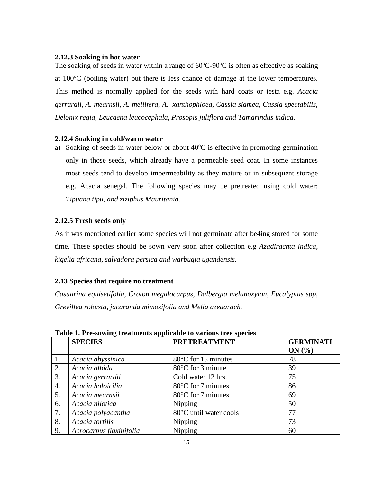## <span id="page-14-0"></span>**2.12.3 Soaking in hot water**

The soaking of seeds in water within a range of  $60^{\circ}$ C-90 $^{\circ}$ C is often as effective as soaking at  $100^{\circ}$ C (boiling water) but there is less chance of damage at the lower temperatures. This method is normally applied for the seeds with hard coats or testa e.g. *Acacia gerrardii, A. mearnsii, A. mellifera, A. xanthophloea, Cassia siamea, Cassia spectabilis, Delonix regia, Leucaena leucocephala, Prosopis juliflora and Tamarindus indica.*

## <span id="page-14-1"></span>**2.12.4 Soaking in cold/warm water**

a) Soaking of seeds in water below or about  $40^{\circ}$ C is effective in promoting germination only in those seeds, which already have a permeable seed coat. In some instances most seeds tend to develop impermeability as they mature or in subsequent storage e.g. Acacia senegal. The following species may be pretreated using cold water: *Tipuana tipu, and ziziphus Mauritania.*

## <span id="page-14-2"></span>**2.12.5 Fresh seeds only**

As it was mentioned earlier some species will not germinate after be4ing stored for some time. These species should be sown very soon after collection e.g *Azadirachta indica, kigelia africana, salvadora persica and warbugia ugandensis.*

## <span id="page-14-3"></span>**2.13 Species that require no treatment**

*Casuarina equisetifolia, Croton megalocarpus, Dalbergia melanoxylon, Eucalyptus spp, Grevillea robusta, jacaranda mimosifolia and Melia azedarach.*

|    | <b>SPECIES</b>          | <b>PRETREATMENT</b>         | <b>GERMINATI</b><br>ON(%) |
|----|-------------------------|-----------------------------|---------------------------|
| 1. | Acacia abyssinica       | 80°C for 15 minutes         | 78                        |
| 2. | Acacia albida           | $80^{\circ}$ C for 3 minute | 39                        |
| 3. | Acacia gerrardii        | Cold water 12 hrs.          | 75                        |
| 4. | Acacia holoicilia       | 80°C for 7 minutes          | 86                        |
| 5. | Acacia mearnsii         | 80°C for 7 minutes          | 69                        |
| 6. | Acacia nilotica         | Nipping                     | 50                        |
| 7. | Acacia polyacantha      | 80°C until water cools      | 77                        |
| 8. | Acacia tortilis         | Nipping                     | 73                        |
| 9. | Acrocarpus flaxinifolia | Nipping                     | 60                        |

**Table 1. Pre-sowing treatments applicable to various tree species**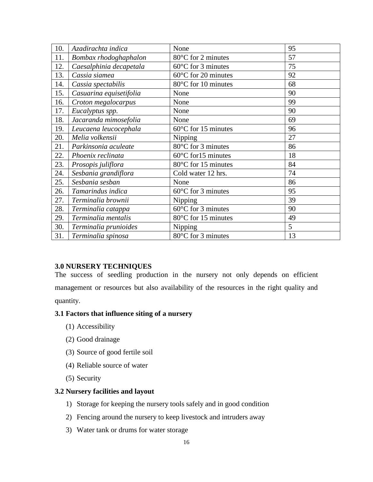| 10. | Azadirachta indica      | None                          | 95 |
|-----|-------------------------|-------------------------------|----|
| 11. | Bombax rhodoghaphalon   | 80°C for 2 minutes            | 57 |
| 12. | Caesalphinia decapetala | $60^{\circ}$ C for 3 minutes  | 75 |
| 13. | Cassia siamea           | 60°C for 20 minutes           | 92 |
| 14. | Cassia spectabilis      | 80°C for 10 minutes           | 68 |
| 15. | Casuarina equisetifolia | None                          | 90 |
| 16. | Croton megalocarpus     | None                          | 99 |
| 17. | Eucalyptus spp.         | None                          | 90 |
| 18. | Jacaranda mimosefolia   | None                          | 69 |
| 19. | Leucaena leucocephala   | $60^{\circ}$ C for 15 minutes | 96 |
| 20. | Melia volkensii         | Nipping                       | 27 |
| 21. | Parkinsonia aculeate    | 80°C for 3 minutes            | 86 |
| 22. | Phoenix reclinata       | $60^{\circ}$ C for 15 minutes | 18 |
| 23. | Prosopis juliflora      | 80°C for 15 minutes           | 84 |
| 24. | Sesbania grandiflora    | Cold water 12 hrs.            | 74 |
| 25. | Sesbania sesban         | None                          | 86 |
| 26. | Tamarindus indica       | $60^{\circ}$ C for 3 minutes  | 95 |
| 27. | Terminalia brownii      | Nipping                       | 39 |
| 28. | Terminalia catappa      | $60^{\circ}$ C for 3 minutes  | 90 |
| 29. | Terminalia mentalis     | 80°C for 15 minutes           | 49 |
| 30. | Terminalia prunioides   | Nipping                       | 5  |
| 31. | Terminalia spinosa      | 80°C for 3 minutes            | 13 |

## <span id="page-15-0"></span>**3.0 NURSERY TECHNIQUES**

The success of seedling production in the nursery not only depends on efficient management or resources but also availability of the resources in the right quality and quantity.

## <span id="page-15-1"></span>**3.1 Factors that influence siting of a nursery**

- (1) Accessibility
- (2) Good drainage
- (3) Source of good fertile soil
- (4) Reliable source of water
- (5) Security

# <span id="page-15-2"></span>**3.2 Nursery facilities and layout**

- 1) Storage for keeping the nursery tools safely and in good condition
- 2) Fencing around the nursery to keep livestock and intruders away
- 3) Water tank or drums for water storage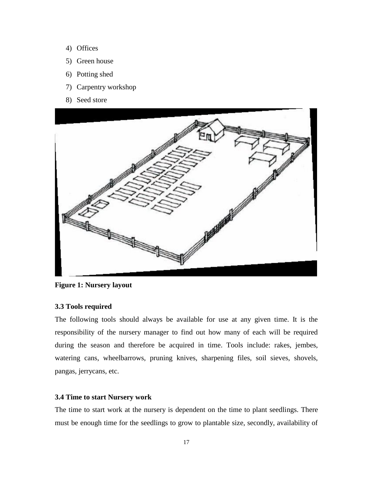- 4) Offices
- 5) Green house
- 6) Potting shed
- 7) Carpentry workshop
- 8) Seed store



**Figure 1: Nursery layout**

#### <span id="page-16-0"></span>**3.3 Tools required**

The following tools should always be available for use at any given time. It is the responsibility of the nursery manager to find out how many of each will be required during the season and therefore be acquired in time. Tools include: rakes, jembes, watering cans, wheelbarrows, pruning knives, sharpening files, soil sieves, shovels, pangas, jerrycans, etc.

#### <span id="page-16-1"></span>**3.4 Time to start Nursery work**

The time to start work at the nursery is dependent on the time to plant seedlings. There must be enough time for the seedlings to grow to plantable size, secondly, availability of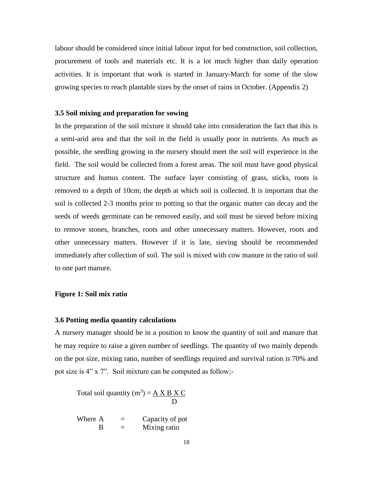labour should be considered since initial labour input for bed construction, soil collection, procurement of tools and materials etc. It is a lot much higher than daily operation activities. It is important that work is started in January-March for some of the slow growing species to reach plantable sizes by the onset of rains in October. (Appendix 2)

#### <span id="page-17-0"></span>**3.5 Soil mixing and preparation for sowing**

In the preparation of the soil mixture it should take into consideration the fact that this is a semi-arid area and that the soil in the field is usually poor in nutrients. As much as possible, the seedling growing in the nursery should meet the soil will experience in the field. The soil would be collected from a forest areas. The soil must have good physical structure and humus content. The surface layer consisting of grass, sticks, roots is removed to a depth of 10cm; the depth at which soil is collected. It is important that the soil is collected 2-3 months prior to potting so that the organic matter can decay and the seeds of weeds germinate can be removed easily, and soil must be sieved before mixing to remove stones, branches, roots and other unnecessary matters. However, roots and other unnecessary matters. However if it is late, sieving should be recommended immediately after collection of soil. The soil is mixed with cow manure in the ratio of soil to one part manure.

## **Figure 1: Soil mix ratio**

#### <span id="page-17-1"></span>**3.6 Potting media quantity calculations**

A nursery manager should be in a position to know the quantity of soil and manure that he may require to raise a given number of seedlings. The quantity of two mainly depends on the pot size, mixing ratio, number of seedlings required and survival ration is 70% and pot size is 4" x 7". Soil mixture can be computed as follow;-

Total soil quantity  $(m^3) = A X B X C$ D

Where  $A =$  Capacity of pot  $B =$  Mixing ratio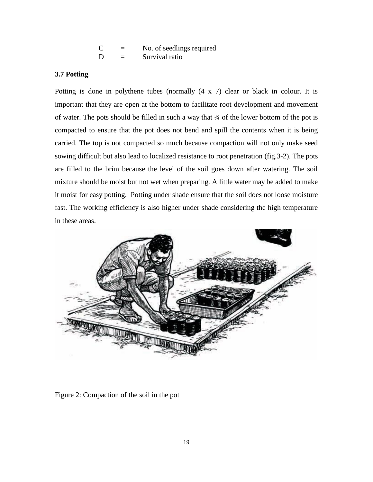| C | No. of seedlings required |
|---|---------------------------|
| D | Survival ratio            |

## <span id="page-18-0"></span>**3.7 Potting**

Potting is done in polythene tubes (normally (4 x 7) clear or black in colour. It is important that they are open at the bottom to facilitate root development and movement of water. The pots should be filled in such a way that ¾ of the lower bottom of the pot is compacted to ensure that the pot does not bend and spill the contents when it is being carried. The top is not compacted so much because compaction will not only make seed sowing difficult but also lead to localized resistance to root penetration (fig.3-2). The pots are filled to the brim because the level of the soil goes down after watering. The soil mixture should be moist but not wet when preparing. A little water may be added to make it moist for easy potting. Potting under shade ensure that the soil does not loose moisture fast. The working efficiency is also higher under shade considering the high temperature in these areas.



Figure 2: Compaction of the soil in the pot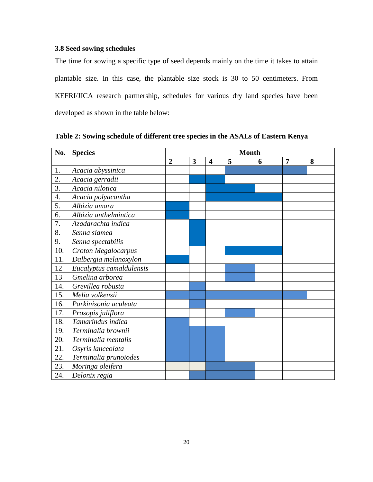# <span id="page-19-0"></span>**3.8 Seed sowing schedules**

The time for sowing a specific type of seed depends mainly on the time it takes to attain plantable size. In this case, the plantable size stock is 30 to 50 centimeters. From KEFRI/JICA research partnership, schedules for various dry land species have been developed as shown in the table below:

| No. | <b>Species</b>           | <b>Month</b>   |   |                         |   |   |   |   |
|-----|--------------------------|----------------|---|-------------------------|---|---|---|---|
|     |                          | $\overline{2}$ | 3 | $\overline{\mathbf{4}}$ | 5 | 6 | 7 | 8 |
| 1.  | Acacia abyssinica        |                |   |                         |   |   |   |   |
| 2.  | Acacia gerradii          |                |   |                         |   |   |   |   |
| 3.  | Acacia nilotica          |                |   |                         |   |   |   |   |
| 4.  | Acacia polyacantha       |                |   |                         |   |   |   |   |
| 5.  | Albizia amara            |                |   |                         |   |   |   |   |
| 6.  | Albizia anthelmintica    |                |   |                         |   |   |   |   |
| 7.  | Azadarachta indica       |                |   |                         |   |   |   |   |
| 8.  | Senna siamea             |                |   |                         |   |   |   |   |
| 9.  | Senna spectabilis        |                |   |                         |   |   |   |   |
| 10. | Croton Megalocarpus      |                |   |                         |   |   |   |   |
| 11. | Dalbergia melanoxylon    |                |   |                         |   |   |   |   |
| 12  | Eucalyptus camaldulensis |                |   |                         |   |   |   |   |
| 13  | Gmelina arborea          |                |   |                         |   |   |   |   |
| 14. | Grevillea robusta        |                |   |                         |   |   |   |   |
| 15. | Melia volkensii          |                |   |                         |   |   |   |   |
| 16. | Parkinisonia aculeata    |                |   |                         |   |   |   |   |
| 17. | Prosopis juliflora       |                |   |                         |   |   |   |   |
| 18. | Tamarindus indica        |                |   |                         |   |   |   |   |
| 19. | Terminalia brownii       |                |   |                         |   |   |   |   |
| 20. | Terminalia mentalis      |                |   |                         |   |   |   |   |
| 21. | Osyris lanceolata        |                |   |                         |   |   |   |   |
| 22. | Terminalia prunoiodes    |                |   |                         |   |   |   |   |
| 23. | Moringa oleifera         |                |   |                         |   |   |   |   |
| 24. | Delonix regia            |                |   |                         |   |   |   |   |

**Table 2: Sowing schedule of different tree species in the ASALs of Eastern Kenya**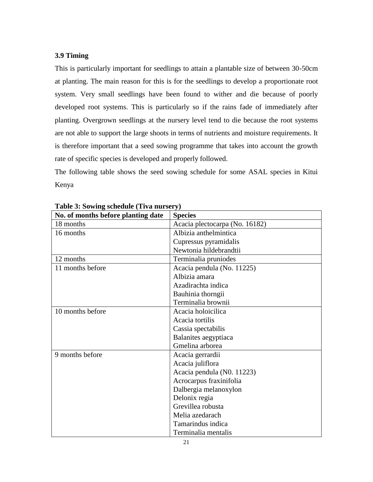## <span id="page-20-0"></span>**3.9 Timing**

This is particularly important for seedlings to attain a plantable size of between 30-50cm at planting. The main reason for this is for the seedlings to develop a proportionate root system. Very small seedlings have been found to wither and die because of poorly developed root systems. This is particularly so if the rains fade of immediately after planting. Overgrown seedlings at the nursery level tend to die because the root systems are not able to support the large shoots in terms of nutrients and moisture requirements. It is therefore important that a seed sowing programme that takes into account the growth rate of specific species is developed and properly followed.

The following table shows the seed sowing schedule for some ASAL species in Kitui Kenya

| $\frac{1}{2}$<br>No. of months before planting date | <b>Species</b>                 |
|-----------------------------------------------------|--------------------------------|
| 18 months                                           | Acacia plectocarpa (No. 16182) |
| 16 months                                           | Albizia anthelmintica          |
|                                                     | Cupressus pyramidalis          |
|                                                     | Newtonia hildebrandtii         |
| 12 months                                           | Terminalia pruniodes           |
| 11 months before                                    | Acacia pendula (No. 11225)     |
|                                                     | Albizia amara                  |
|                                                     | Azadirachta indica             |
|                                                     | Bauhinia thorngii              |
|                                                     | Terminalia brownii             |
| 10 months before                                    | Acacia holoicilica             |
|                                                     | Acacia tortilis                |
|                                                     | Cassia spectabilis             |
|                                                     | Balanites aegyptiaca           |
|                                                     | Gmelina arborea                |
| 9 months before                                     | Acacia gerrardii               |
|                                                     | Acacia juliflora               |
|                                                     | Acacia pendula (N0. 11223)     |
|                                                     | Acrocarpus fraxinifolia        |
|                                                     | Dalbergia melanoxylon          |
|                                                     | Delonix regia                  |
|                                                     | Grevillea robusta              |
|                                                     | Melia azedarach                |
|                                                     | Tamarindus indica              |
|                                                     | Terminalia mentalis            |

**Table 3: Sowing schedule (Tiva nursery)**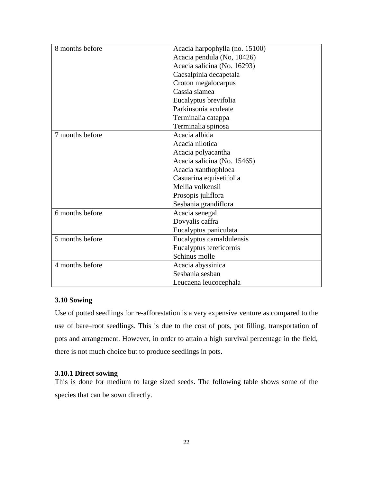| 8 months before | Acacia harpophylla (no. 15100) |
|-----------------|--------------------------------|
|                 | Acacia pendula (No, 10426)     |
|                 | Acacia salicina (No. 16293)    |
|                 | Caesalpinia decapetala         |
|                 | Croton megalocarpus            |
|                 | Cassia siamea                  |
|                 | Eucalyptus brevifolia          |
|                 | Parkinsonia aculeate           |
|                 | Terminalia catappa             |
|                 | Terminalia spinosa             |
| 7 months before | Acacia albida                  |
|                 | Acacia nilotica                |
|                 | Acacia polyacantha             |
|                 | Acacia salicina (No. 15465)    |
|                 | Acacia xanthophloea            |
|                 | Casuarina equisetifolia        |
|                 | Mellia volkensii               |
|                 | Prosopis juliflora             |
|                 | Sesbania grandiflora           |
| 6 months before | Acacia senegal                 |
|                 | Dovyalis caffra                |
|                 | Eucalyptus paniculata          |
| 5 months before | Eucalyptus camaldulensis       |
|                 | Eucalyptus tereticornis        |
|                 | Schinus molle                  |
| 4 months before | Acacia abyssinica              |
|                 | Sesbania sesban                |
|                 | Leucaena leucocephala          |

# <span id="page-21-0"></span>**3.10 Sowing**

Use of potted seedlings for re-afforestation is a very expensive venture as compared to the use of bare–root seedlings. This is due to the cost of pots, pot filling, transportation of pots and arrangement. However, in order to attain a high survival percentage in the field, there is not much choice but to produce seedlings in pots.

## <span id="page-21-1"></span>**3.10.1 Direct sowing**

This is done for medium to large sized seeds. The following table shows some of the species that can be sown directly.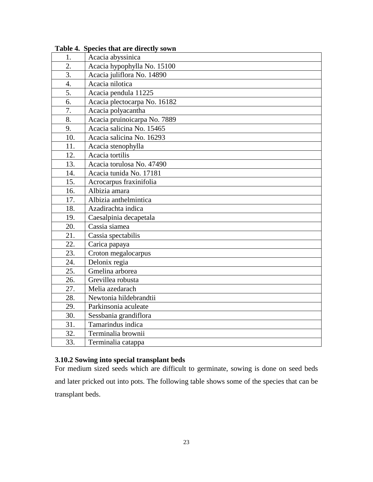| 1.               | Acacia abyssinica            |
|------------------|------------------------------|
| 2.               | Acacia hypophylla No. 15100  |
| 3.               | Acacia juliflora No. 14890   |
| $\overline{4}$ . | Acacia nilotica              |
| 5.               | Acacia pendula 11225         |
| 6.               | Acacia plectocarpa No. 16182 |
| 7.               | Acacia polyacantha           |
| 8.               | Acacia pruinoicarpa No. 7889 |
| 9.               | Acacia salicina No. 15465    |
| 10.              | Acacia salicina No. 16293    |
| 11.              | Acacia stenophylla           |
| 12.              | Acacia tortilis              |
| 13.              | Acacia torulosa No. 47490    |
| 14.              | Acacia tunida No. 17181      |
| 15.              | Acrocarpus fraxinifolia      |
| 16.              | Albizia amara                |
| 17.              | Albizia anthelmintica        |
| 18.              | Azadirachta indica           |
| 19.              | Caesalpinia decapetala       |
| 20.              | Cassia siamea                |
| 21.              | Cassia spectabilis           |
| 22.              | Carica papaya                |
| 23.              | Croton megalocarpus          |
| 24.              | Delonix regia                |
| 25.              | Gmelina arborea              |
| 26.              | Grevillea robusta            |
| 27.              | Melia azedarach              |
| 28.              | Newtonia hildebrandtii       |
| 29.              | Parkinsonia aculeate         |
| 30.              | Sessbania grandiflora        |
| 31.              | Tamarindus indica            |
| 32.              | Terminalia brownii           |
| 33.              | Terminalia catappa           |

**Table 4. Species that are directly sown**

# <span id="page-22-0"></span>**3.10.2 Sowing into special transplant beds**

For medium sized seeds which are difficult to germinate, sowing is done on seed beds and later pricked out into pots. The following table shows some of the species that can be transplant beds.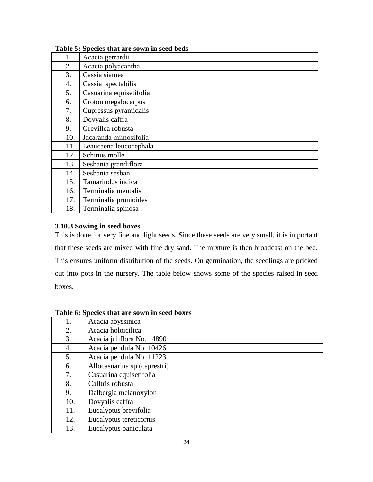| 1.  | Acacia gerrardii        |
|-----|-------------------------|
| 2.  | Acacia polyacantha      |
| 3.  | Cassia siamea           |
| 4.  | Cassia spectabilis      |
| 5.  | Casuarina equisetifolia |
| 6.  | Croton megalocarpus     |
| 7.  | Cupressus pyramidalis   |
| 8.  | Dovyalis caffra         |
| 9.  | Grevillea robusta       |
| 10. | Jacaranda mimosifolia   |
| 11. | Leaucaena leucocephala  |
| 12. | Schinus molle           |
| 13. | Sesbania grandiflora    |
| 14. | Sesbania sesban         |
| 15. | Tamarindus indica       |
| 16. | Terminalia mentalis     |
| 17. | Terminalia prunioides   |
| 18. | Terminalia spinosa      |

## **Table 5: Species that are sown in seed beds**

### <span id="page-23-0"></span>**3.10.3 Sowing in seed boxes**

This is done for very fine and light seeds. Since these seeds are very small, it is important that these seeds are mixed with fine dry sand. The mixture is then broadcast on the bed. This ensures uniform distribution of the seeds. On germination, the seedlings are pricked out into pots in the nursery. The table below shows some of the species raised in seed boxes.

| 1.  | Acacia abyssinica            |
|-----|------------------------------|
| 2.  | Acacia holoicilica           |
| 3.  | Acacia juliflora No. 14890   |
| 4.  | Acacia pendula No. 10426     |
| 5.  | Acacia pendula No. 11223     |
| 6.  | Allocasuarina sp (caprestri) |
| 7.  | Casuarina equisetifolia      |
| 8.  | Calltris robusta             |
| 9.  | Dalbergia melanoxylon        |
| 10. | Dovyalis caffra              |
| 11. | Eucalyptus brevifolia        |
| 12. | Eucalyptus tereticornis      |
| 13. | Eucalyptus paniculata        |

## **Table 6: Species that are sown in seed boxes**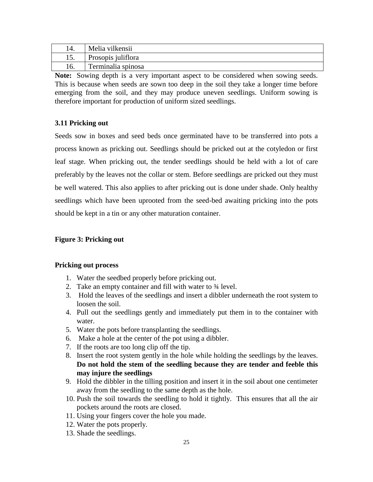| 14. | Melia vilkensii    |
|-----|--------------------|
| 19. | Prosopis juliflora |
|     | Terminalia spinosa |

**Note:** Sowing depth is a very important aspect to be considered when sowing seeds. This is because when seeds are sown too deep in the soil they take a longer time before emerging from the soil, and they may produce uneven seedlings. Uniform sowing is therefore important for production of uniform sized seedlings.

# <span id="page-24-0"></span>**3.11 Pricking out**

Seeds sow in boxes and seed beds once germinated have to be transferred into pots a process known as pricking out. Seedlings should be pricked out at the cotyledon or first leaf stage. When pricking out, the tender seedlings should be held with a lot of care preferably by the leaves not the collar or stem. Before seedlings are pricked out they must be well watered. This also applies to after pricking out is done under shade. Only healthy seedlings which have been uprooted from the seed-bed awaiting pricking into the pots should be kept in a tin or any other maturation container.

## **Figure 3: Pricking out**

## **Pricking out process**

- 1. Water the seedbed properly before pricking out.
- 2. Take an empty container and fill with water to ¾ level.
- 3. Hold the leaves of the seedlings and insert a dibbler underneath the root system to loosen the soil.
- 4. Pull out the seedlings gently and immediately put them in to the container with water.
- 5. Water the pots before transplanting the seedlings.
- 6. Make a hole at the center of the pot using a dibbler.
- 7. If the roots are too long clip off the tip.
- 8. Insert the root system gently in the hole while holding the seedlings by the leaves. **Do not hold the stem of the seedling because they are tender and feeble this may injure the seedlings**
- 9. Hold the dibbler in the tilling position and insert it in the soil about one centimeter away from the seedling to the same depth as the hole.
- 10. Push the soil towards the seedling to hold it tightly. This ensures that all the air pockets around the roots are closed.
- 11. Using your fingers cover the hole you made.
- 12. Water the pots properly.
- 13. Shade the seedlings.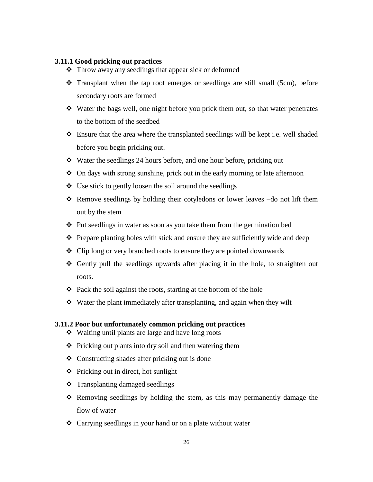## <span id="page-25-0"></span>**3.11.1 Good pricking out practices**

- Throw away any seedlings that appear sick or deformed
- Transplant when the tap root emerges or seedlings are still small (5cm), before secondary roots are formed
- Water the bags well, one night before you prick them out, so that water penetrates to the bottom of the seedbed
- $\div$  Ensure that the area where the transplanted seedlings will be kept i.e. well shaded before you begin pricking out.
- Water the seedlings 24 hours before, and one hour before, pricking out
- On days with strong sunshine, prick out in the early morning or late afternoon
- $\triangleleft$  Use stick to gently loosen the soil around the seedlings
- Remove seedlings by holding their cotyledons or lower leaves –do not lift them out by the stem
- $\triangle$  Put seedlings in water as soon as you take them from the germination bed
- $\triangle$  Prepare planting holes with stick and ensure they are sufficiently wide and deep
- Clip long or very branched roots to ensure they are pointed downwards
- $\div$  Gently pull the seedlings upwards after placing it in the hole, to straighten out roots.
- $\triangleleft$  Pack the soil against the roots, starting at the bottom of the hole
- Water the plant immediately after transplanting, and again when they wilt

#### <span id="page-25-1"></span>**3.11.2 Poor but unfortunately common pricking out practices**

- Waiting until plants are large and have long roots
- $\triangle$  Pricking out plants into dry soil and then watering them
- $\triangle$  Constructing shades after pricking out is done
- $\triangleleft$  Pricking out in direct, hot sunlight
- $\triangleleft$  Transplanting damaged seedlings
- Removing seedlings by holding the stem, as this may permanently damage the flow of water
- Carrying seedlings in your hand or on a plate without water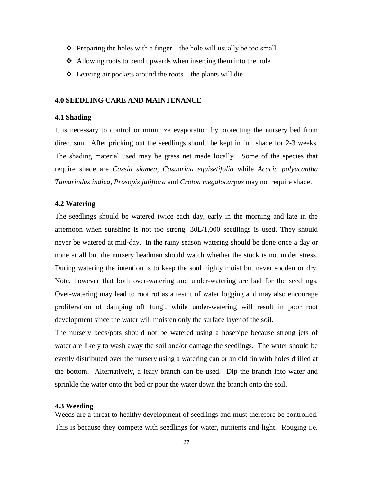- $\triangle$  Preparing the holes with a finger the hole will usually be too small
- $\triangle$  Allowing roots to bend upwards when inserting them into the hole
- $\triangle$  Leaving air pockets around the roots the plants will die

## <span id="page-26-0"></span>**4.0 SEEDLING CARE AND MAINTENANCE**

#### <span id="page-26-1"></span>**4.1 Shading**

It is necessary to control or minimize evaporation by protecting the nursery bed from direct sun. After pricking out the seedlings should be kept in full shade for 2-3 weeks. The shading material used may be grass net made locally. Some of the species that require shade are *Cassia siamea, Casuarina equisetifolia* while *Acacia polyacantha Tamarindus indica, Prosopis juliflora* and *Croton megalocarpus* may not require shade.

#### <span id="page-26-2"></span>**4.2 Watering**

The seedlings should be watered twice each day, early in the morning and late in the afternoon when sunshine is not too strong. 30L/1,000 seedlings is used. They should never be watered at mid-day. In the rainy season watering should be done once a day or none at all but the nursery headman should watch whether the stock is not under stress. During watering the intention is to keep the soul highly moist but never sodden or dry. Note, however that both over-watering and under-watering are bad for the seedlings. Over-watering may lead to root rot as a result of water logging and may also encourage proliferation of damping off fungi, while under-watering will result in poor root development since the water will moisten only the surface layer of the soil.

The nursery beds/pots should not be watered using a hosepipe because strong jets of water are likely to wash away the soil and/or damage the seedlings. The water should be evenly distributed over the nursery using a watering can or an old tin with holes drilled at the bottom. Alternatively, a leafy branch can be used. Dip the branch into water and sprinkle the water onto the bed or pour the water down the branch onto the soil.

#### <span id="page-26-3"></span>**4.3 Weeding**

Weeds are a threat to healthy development of seedlings and must therefore be controlled. This is because they compete with seedlings for water, nutrients and light. Rouging i.e.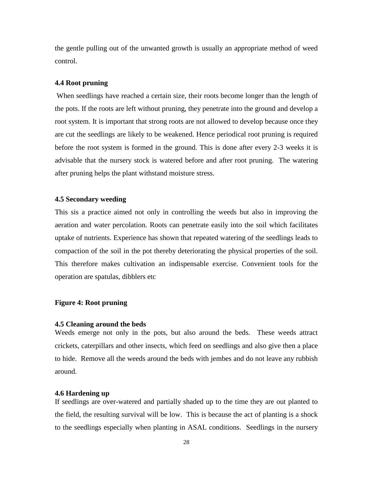the gentle pulling out of the unwanted growth is usually an appropriate method of weed control.

#### <span id="page-27-0"></span>**4.4 Root pruning**

When seedlings have reached a certain size, their roots become longer than the length of the pots. If the roots are left without pruning, they penetrate into the ground and develop a root system. It is important that strong roots are not allowed to develop because once they are cut the seedlings are likely to be weakened. Hence periodical root pruning is required before the root system is formed in the ground. This is done after every 2-3 weeks it is advisable that the nursery stock is watered before and after root pruning. The watering after pruning helps the plant withstand moisture stress.

#### <span id="page-27-1"></span>**4.5 Secondary weeding**

This sis a practice aimed not only in controlling the weeds but also in improving the aeration and water percolation. Roots can penetrate easily into the soil which facilitates uptake of nutrients. Experience has shown that repeated watering of the seedlings leads to compaction of the soil in the pot thereby deteriorating the physical properties of the soil. This therefore makes cultivation an indispensable exercise. Convenient tools for the operation are spatulas, dibblers etc

## **Figure 4: Root pruning**

#### <span id="page-27-2"></span>**4.5 Cleaning around the beds**

Weeds emerge not only in the pots, but also around the beds. These weeds attract crickets, caterpillars and other insects, which feed on seedlings and also give then a place to hide. Remove all the weeds around the beds with jembes and do not leave any rubbish around.

#### <span id="page-27-3"></span>**4.6 Hardening up**

If seedlings are over-watered and partially shaded up to the time they are out planted to the field, the resulting survival will be low. This is because the act of planting is a shock to the seedlings especially when planting in ASAL conditions. Seedlings in the nursery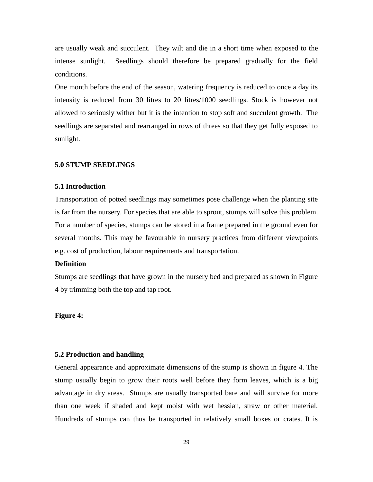are usually weak and succulent. They wilt and die in a short time when exposed to the intense sunlight. Seedlings should therefore be prepared gradually for the field conditions.

One month before the end of the season, watering frequency is reduced to once a day its intensity is reduced from 30 litres to 20 litres/1000 seedlings. Stock is however not allowed to seriously wither but it is the intention to stop soft and succulent growth. The seedlings are separated and rearranged in rows of threes so that they get fully exposed to sunlight.

## <span id="page-28-0"></span>**5.0 STUMP SEEDLINGS**

#### <span id="page-28-1"></span>**5.1 Introduction**

Transportation of potted seedlings may sometimes pose challenge when the planting site is far from the nursery. For species that are able to sprout, stumps will solve this problem. For a number of species, stumps can be stored in a frame prepared in the ground even for several months. This may be favourable in nursery practices from different viewpoints e.g. cost of production, labour requirements and transportation.

#### **Definition**

Stumps are seedlings that have grown in the nursery bed and prepared as shown in Figure 4 by trimming both the top and tap root.

## **Figure 4:**

## <span id="page-28-2"></span>**5.2 Production and handling**

General appearance and approximate dimensions of the stump is shown in figure 4. The stump usually begin to grow their roots well before they form leaves, which is a big advantage in dry areas. Stumps are usually transported bare and will survive for more than one week if shaded and kept moist with wet hessian, straw or other material. Hundreds of stumps can thus be transported in relatively small boxes or crates. It is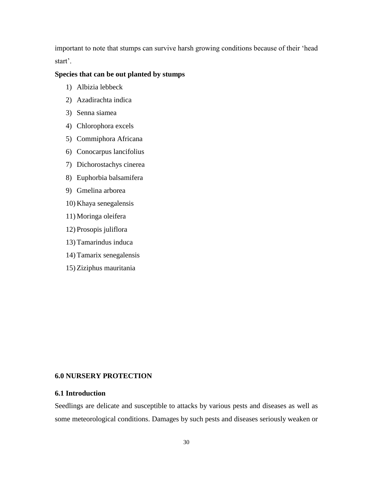important to note that stumps can survive harsh growing conditions because of their 'head start'.

## **Species that can be out planted by stumps**

- 1) Albizia lebbeck
- 2) Azadirachta indica
- 3) Senna siamea
- 4) Chlorophora excels
- 5) Commiphora Africana
- 6) Conocarpus lancifolius
- 7) Dichorostachys cinerea
- 8) Euphorbia balsamifera
- 9) Gmelina arborea
- 10) Khaya senegalensis
- 11) Moringa oleifera
- 12) Prosopis juliflora
- 13) Tamarindus induca
- 14) Tamarix senegalensis
- 15) Ziziphus mauritania

## <span id="page-29-0"></span>**6.0 NURSERY PROTECTION**

## **6.1 Introduction**

Seedlings are delicate and susceptible to attacks by various pests and diseases as well as some meteorological conditions. Damages by such pests and diseases seriously weaken or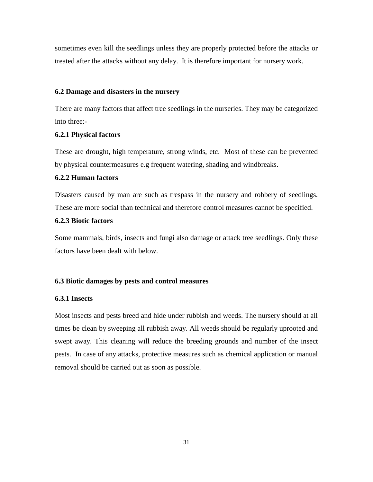sometimes even kill the seedlings unless they are properly protected before the attacks or treated after the attacks without any delay. It is therefore important for nursery work.

## <span id="page-30-0"></span>**6.2 Damage and disasters in the nursery**

There are many factors that affect tree seedlings in the nurseries. They may be categorized into three:-

#### <span id="page-30-1"></span>**6.2.1 Physical factors**

These are drought, high temperature, strong winds, etc. Most of these can be prevented by physical countermeasures e.g frequent watering, shading and windbreaks.

#### <span id="page-30-2"></span>**6.2.2 Human factors**

Disasters caused by man are such as trespass in the nursery and robbery of seedlings. These are more social than technical and therefore control measures cannot be specified.

# <span id="page-30-3"></span>**6.2.3 Biotic factors**

Some mammals, birds, insects and fungi also damage or attack tree seedlings. Only these factors have been dealt with below.

## <span id="page-30-4"></span>**6.3 Biotic damages by pests and control measures**

## <span id="page-30-5"></span>**6.3.1 Insects**

Most insects and pests breed and hide under rubbish and weeds. The nursery should at all times be clean by sweeping all rubbish away. All weeds should be regularly uprooted and swept away. This cleaning will reduce the breeding grounds and number of the insect pests. In case of any attacks, protective measures such as chemical application or manual removal should be carried out as soon as possible.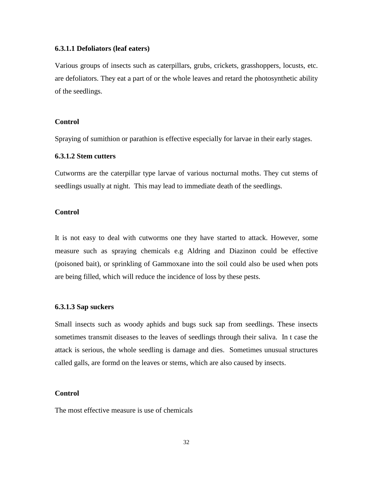#### **6.3.1.1 Defoliators (leaf eaters)**

Various groups of insects such as caterpillars, grubs, crickets, grasshoppers, locusts, etc. are defoliators. They eat a part of or the whole leaves and retard the photosynthetic ability of the seedlings.

## **Control**

Spraying of sumithion or parathion is effective especially for larvae in their early stages.

#### **6.3.1.2 Stem cutters**

Cutworms are the caterpillar type larvae of various nocturnal moths. They cut stems of seedlings usually at night. This may lead to immediate death of the seedlings.

#### **Control**

It is not easy to deal with cutworms one they have started to attack. However, some measure such as spraying chemicals e.g Aldring and Diazinon could be effective (poisoned bait), or sprinkling of Gammoxane into the soil could also be used when pots are being filled, which will reduce the incidence of loss by these pests.

#### **6.3.1.3 Sap suckers**

Small insects such as woody aphids and bugs suck sap from seedlings. These insects sometimes transmit diseases to the leaves of seedlings through their saliva. In t case the attack is serious, the whole seedling is damage and dies. Sometimes unusual structures called galls, are formd on the leaves or stems, which are also caused by insects.

## **Control**

The most effective measure is use of chemicals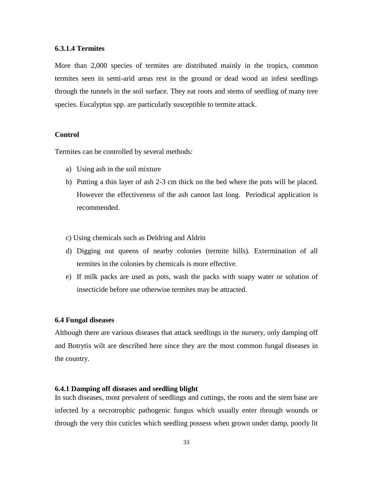#### **6.3.1.4 Termites**

More than 2,000 species of termites are distributed mainly in the tropics, common termites seen in semi-arid areas rest in the ground or dead wood an infest seedlings through the tunnels in the soil surface. They eat roots and stems of seedling of many tree species. Eucalyptus spp. are particularly susceptible to termite attack.

#### **Control**

Termites can be controlled by several methods:

- a) Using ash in the soil mixture
- b) Putting a thin layer of ash 2-3 cm thick on the bed where the pots will be placed. However the effectiveness of the ash cannot last long. Periodical application is recommended.
- c) Using chemicals such as Deldring and Aldrin
- d) Digging out queens of nearby colonies (termite hills). Extermination of all termites in the colonies by chemicals is more effective.
- e) If milk packs are used as pots, wash the packs with soapy water or solution of insecticide before use otherwise termites may be attracted.

#### <span id="page-32-0"></span>**6.4 Fungal diseases**

Although there are various diseases that attack seedlings in the nursery, only damping off and Botrytis wilt are described here since they are the most common fungal diseases in the country.

## <span id="page-32-1"></span>**6.4.1 Damping off diseases and seedling blight**

In such diseases, most prevalent of seedlings and cuttings, the roots and the stem base are infected by a necrotrophic pathogenic fungus which usually enter through wounds or through the very thin cuticles which seedling possess when grown under damp, poorly lit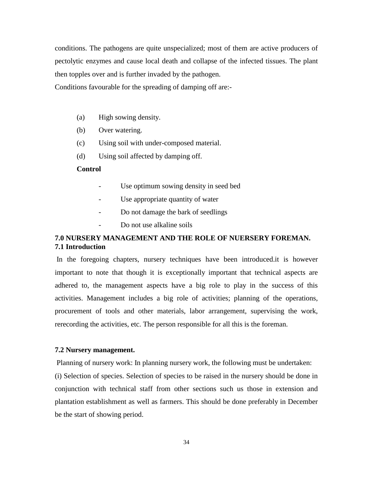conditions. The pathogens are quite unspecialized; most of them are active producers of pectolytic enzymes and cause local death and collapse of the infected tissues. The plant then topples over and is further invaded by the pathogen.

Conditions favourable for the spreading of damping off are:-

- (a) High sowing density.
- (b) Over watering.
- (c) Using soil with under-composed material.
- (d) Using soil affected by damping off.

## **Control**

- Use optimum sowing density in seed bed
- Use appropriate quantity of water
- Do not damage the bark of seedlings
- Do not use alkaline soils

# <span id="page-33-1"></span><span id="page-33-0"></span>**7.0 NURSERY MANAGEMENT AND THE ROLE OF NUERSERY FOREMAN. 7.1 Introduction**

In the foregoing chapters, nursery techniques have been introduced.it is however important to note that though it is exceptionally important that technical aspects are adhered to, the management aspects have a big role to play in the success of this activities. Management includes a big role of activities; planning of the operations, procurement of tools and other materials, labor arrangement, supervising the work, rerecording the activities, etc. The person responsible for all this is the foreman.

#### <span id="page-33-2"></span>**7.2 Nursery management.**

Planning of nursery work: In planning nursery work, the following must be undertaken: (i) Selection of species. Selection of species to be raised in the nursery should be done in conjunction with technical staff from other sections such us those in extension and plantation establishment as well as farmers. This should be done preferably in December be the start of showing period.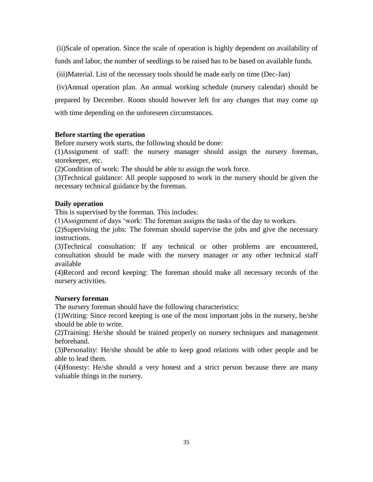(ii)Scale of operation. Since the scale of operation is highly dependent on availability of funds and labor, the number of seedlings to be raised has to be based on available funds.

(iii)Material. List of the necessary tools should be made early on time (Dec-Jan)

(iv)Annual operation plan. An annual working schedule (nursery calendar) should be prepared by December. Room should however left for any changes that may come up with time depending on the unforeseen circumstances.

## <span id="page-34-0"></span>**Before starting the operation**

Before nursery work starts, the following should be done:

(1)Assignment of staff: the nursery manager should assign the nursery foreman, storekeeper, etc.

(2)Condition of work: The should be able to assign the work force.

(3)Technical guidance: All people supposed to work in the nursery should be given the necessary technical guidance by the foreman.

# <span id="page-34-1"></span>**Daily operation**

This is supervised by the foreman. This includes:

(1)Assignment of days 'work: The foreman assigns the tasks of the day to workers.

(2)Supervising the jobs: The foreman should supervise the jobs and give the necessary instructions.

(3)Technical consultation: If any technical or other problems are encountered, consultation should be made with the nursery manager or any other technical staff available

(4)Record and record keeping: The foreman should make all necessary records of the nursery activities.

## <span id="page-34-2"></span>**Nursery foreman**

The nursery foreman should have the following characteristics:

(1)Writing: Since record keeping is one of the most important jobs in the nursery, he/she should be able to write.

(2)Training: He/she should be trained properly on nursery techniques and management beforehand.

(3)Personality: He/she should be able to keep good relations with other people and be able to lead them.

(4)Honesty: He/she should a very honest and a strict person because there are many valuable things in the nursery.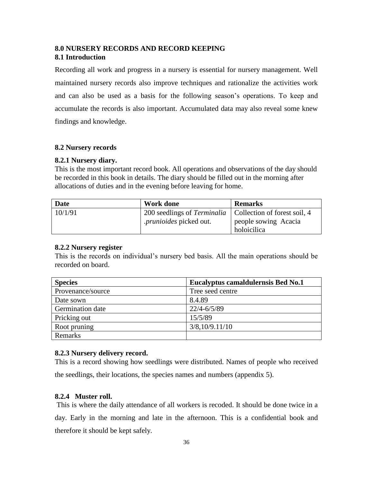# <span id="page-35-1"></span><span id="page-35-0"></span>**8.0 NURSERY RECORDS AND RECORD KEEPING 8.1 Introduction**

Recording all work and progress in a nursery is essential for nursery management. Well maintained nursery records also improve techniques and rationalize the activities work and can also be used as a basis for the following season's operations. To keep and accumulate the records is also important. Accumulated data may also reveal some knew findings and knowledge.

## <span id="page-35-2"></span>**8.2 Nursery records**

## <span id="page-35-3"></span>**8.2.1 Nursery diary.**

This is the most important record book. All operations and observations of the day should be recorded in this book in details. The diary should be filled out in the morning after allocations of duties and in the evening before leaving for home.

| Date    | <b>Work done</b>                                                  | <b>Remarks</b>       |
|---------|-------------------------------------------------------------------|----------------------|
| 10/1/91 | 200 seedlings of <i>Terminalia</i>   Collection of forest soil, 4 |                      |
|         | <i>prunioides</i> picked out.                                     | people sowing Acacia |
|         |                                                                   | holoicilica          |

## <span id="page-35-4"></span>**8.2.2 Nursery register**

<span id="page-35-5"></span>This is the records on individual's nursery bed basis. All the main operations should be recorded on board.

| <b>Species</b>    | Eucalyptus camaldulernsis Bed No.1 |
|-------------------|------------------------------------|
| Provenance/source | Tree seed centre                   |
| Date sown         | 8.4.89                             |
| Germination date  | $22/4 - 6/5/89$                    |
| Pricking out      | 15/5/89                            |
| Root pruning      | 3/8,10/9.11/10                     |
| Remarks           |                                    |

## <span id="page-35-6"></span>**8.2.3 Nursery delivery record.**

This is a record showing how seedlings were distributed. Names of people who received the seedlings, their locations, the species names and numbers (appendix 5).

## <span id="page-35-7"></span>**8.2.4 Muster roll.**

This is where the daily attendance of all workers is recoded. It should be done twice in a day. Early in the morning and late in the afternoon. This is a confidential book and therefore it should be kept safely.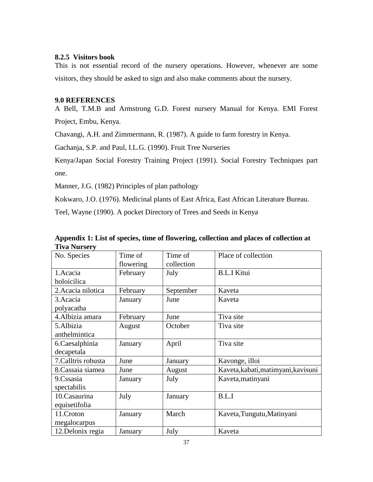## <span id="page-36-0"></span>**8.2.5 Visitors book**

This is not essential record of the nursery operations. However, whenever are some visitors, they should be asked to sign and also make comments about the nursery.

## <span id="page-36-1"></span>**9.0 REFERENCES**

A Bell, T.M.B and Armstrong G.D. Forest nursery Manual for Kenya. EMI Forest Project, Embu, Kenya.

Chavangi, A.H. and Zimmermann, R. (1987). A guide to farm forestry in Kenya.

Gachanja, S.P. and Paul, I.L.G. (1990). Fruit Tree Nurseries

Kenya/Japan Social Forestry Training Project (1991). Social Forestry Techniques part one.

Manner, J.G. (1982) Principles of plan pathology

Kokwaro, J.O. (1976). Medicinal plants of East Africa, East African Literature Bureau.

Teel, Wayne (1990). A pocket Directory of Trees and Seeds in Kenya

| TIVA INUTSETV       |           |            |                                     |
|---------------------|-----------|------------|-------------------------------------|
| No. Species         | Time of   | Time of    | Place of collection                 |
|                     | flowering | collection |                                     |
| 1.Acacia            | February  | July       | <b>B.L.I Kitui</b>                  |
| holoicilica         |           |            |                                     |
| 2. Acacia nilotica  | February  | September  | Kaveta                              |
| 3. Acacia           | January   | June       | Kaveta                              |
| polyacatha          |           |            |                                     |
| 4.Albizia amara     | February  | June       | Tiva site                           |
| 5.Albizia           | August    | October    | Tiva site                           |
| anthelmintica       |           |            |                                     |
| 6.Caesalphinia      | January   | April      | Tiva site                           |
| decapetala          |           |            |                                     |
| 7. Calltris robusta | June      | January    | Kavonge, illoi                      |
| 8. Cassaia siamea   | June      | August     | Kaveta, kabati, matimyani, kavisuni |
| 9.Cssasia           | January   | July       | Kaveta, matinyani                   |
| spectabilis         |           |            |                                     |
| 10.Casaurina        | July      | January    | B.L.I                               |
| equisetifolia       |           |            |                                     |
| 11.Croton           | January   | March      | Kaveta, Tungutu, Matinyani          |
| megalocarpus        |           |            |                                     |
| 12. Delonix regia   | January   | July       | Kaveta                              |

<span id="page-36-2"></span>**Appendix 1: List of species, time of flowering, collection and places of collection at Tiva Nursery**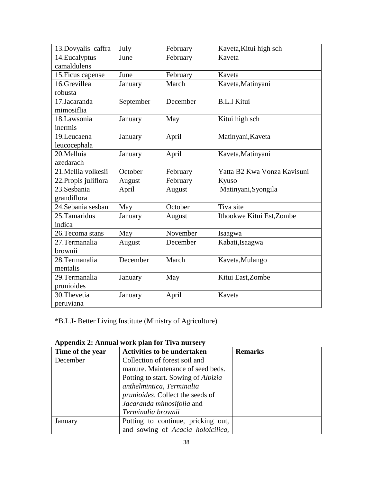| 13.Dovyalis caffra   | July      | February | Kaveta, Kitui high sch      |
|----------------------|-----------|----------|-----------------------------|
| 14. Eucalyptus       | June      | February | Kaveta                      |
| camaldulens          |           |          |                             |
| 15. Ficus capense    | June      | February | Kaveta                      |
| 16.Grevillea         | January   | March    | Kaveta, Matinyani           |
| robusta              |           |          |                             |
| 17.Jacaranda         | September | December | <b>B.L.I Kitui</b>          |
| mimosiflia           |           |          |                             |
| 18.Lawsonia          | January   | May      | Kitui high sch              |
| inermis              |           |          |                             |
| 19.Leucaena          | January   | April    | Matinyani, Kaveta           |
| leucocephala         |           |          |                             |
| 20.Melluia           | January   | April    | Kaveta, Matinyani           |
| azedarach            |           |          |                             |
| 21. Mellia volkesii  | October   | February | Yatta B2 Kwa Vonza Kavisuni |
| 22. Propis juliflora | August    | February | Kyuso                       |
| 23.Sesbania          | April     | August   | Matinyani, Syongila         |
| grandiflora          |           |          |                             |
| 24. Sebania sesban   | May       | October  | Tiva site                   |
| 25. Tamaridus        | January   | August   | Ithookwe Kitui Est, Zombe   |
| indica               |           |          |                             |
| 26. Tecoma stans     | May       | November | Isaagwa                     |
| 27. Termanalia       | August    | December | Kabati, Isaagwa             |
| brownii              |           |          |                             |
| 28.Termanalia        | December  | March    | Kaveta, Mulango             |
| mentalis             |           |          |                             |
| 29.Termanalia        | January   | May      | Kitui East, Zombe           |
| prunioides           |           |          |                             |
| 30. Thevetia         | January   | April    | Kaveta                      |
| peruviana            |           |          |                             |

\*B.L.I- Better Living Institute (Ministry of Agriculture)

| Time of the year | $\mu$ , $\mu$ , $\mu$ , $\mu$ , $\mu$ , $\mu$ , $\mu$ , $\mu$ , $\mu$ , $\mu$ , $\mu$ , $\mu$ , $\mu$<br><b>Activities to be undertaken</b> | <b>Remarks</b> |
|------------------|---------------------------------------------------------------------------------------------------------------------------------------------|----------------|
| December         | Collection of forest soil and                                                                                                               |                |
|                  | manure. Maintenance of seed beds.                                                                                                           |                |
|                  | Potting to start. Sowing of <i>Albizia</i>                                                                                                  |                |
|                  | anthelmintica, Terminalia                                                                                                                   |                |
|                  | prunioides. Collect the seeds of                                                                                                            |                |
|                  | Jacaranda mimosifolia and                                                                                                                   |                |
|                  | Terminalia brownii                                                                                                                          |                |
| January          | Potting to continue, pricking out,                                                                                                          |                |
|                  | and sowing of Acacia holoicilica,                                                                                                           |                |

<span id="page-37-0"></span>**Appendix 2: Annual work plan for Tiva nursery**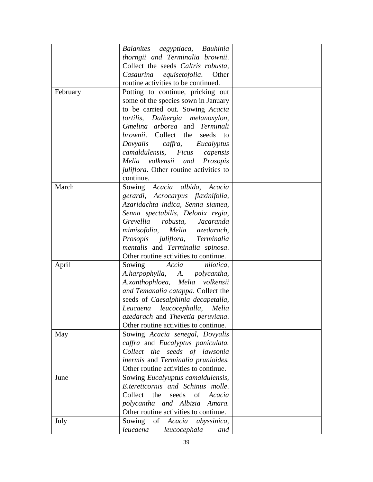|          | Balanites aegyptiaca, Bauhinia                 |  |
|----------|------------------------------------------------|--|
|          | thorngii and Terminalia brownii.               |  |
|          | Collect the seeds Caltris robusta,             |  |
|          | Casaurina equisetofolia. Other                 |  |
|          | routine activities to be continued.            |  |
|          |                                                |  |
| February | Potting to continue, pricking out              |  |
|          | some of the species sown in January            |  |
|          | to be carried out. Sowing Acacia               |  |
|          | tortilis, Dalbergia melanoxylon,               |  |
|          | Gmelina arborea and Terminali                  |  |
|          | brownii. Collect the seeds<br>to               |  |
|          | Dovyalis caffra, Eucalyptus                    |  |
|          | camaldulensis, Ficus<br>capensis               |  |
|          | volkensii and Prosopis<br>Melia                |  |
|          | <i>juliflora</i> . Other routine activities to |  |
|          | continue.                                      |  |
| March    | Sowing Acacia albida, Acacia                   |  |
|          | gerardi, Acrocarpus flaxinifolia,              |  |
|          | Azaridachta indica, Senna siamea,              |  |
|          | Senna spectabilis, Delonix regia,              |  |
|          | Grevellia robusta, Jacaranda                   |  |
|          | mimisofolia, Melia azedarach,                  |  |
|          | Prosopis juliflora, Terminalia                 |  |
|          | mentalis and Terminalia spinosa.               |  |
|          | Other routine activities to continue.          |  |
| April    | Sowing<br>Accia<br>nilotica,                   |  |
|          | A.harpophylla, A. polycantha,                  |  |
|          | A.xanthophloea, Melia volkensii                |  |
|          | and Temanalia catappa. Collect the             |  |
|          | seeds of Caesalphinia decapetalla,             |  |
|          | Leucaena leucocephalla, Melia                  |  |
|          |                                                |  |
|          | azedarach and Thevetia peruviana.              |  |
|          | Other routine activities to continue.          |  |
| May      | Sowing Acacia senegal, Dovyalis                |  |
|          | caffra and Eucalyptus paniculata.              |  |
|          | Collect the seeds of lawsonia                  |  |
|          | inermis and Terminalia prunioides.             |  |
|          | Other routine activities to continue.          |  |
| June     | Sowing <i>Eucalyuptus camaldulensis</i> ,      |  |
|          | E.tereticornis and Schinus molle.              |  |
|          | Collect<br>the<br>seeds of<br>Acacia           |  |
|          | polycantha and Albizia Amara.                  |  |
|          | Other routine activities to continue.          |  |
| July     | of Acacia<br>Sowing<br>abyssinica,             |  |
|          | leucaena<br>leucocephala<br>and                |  |